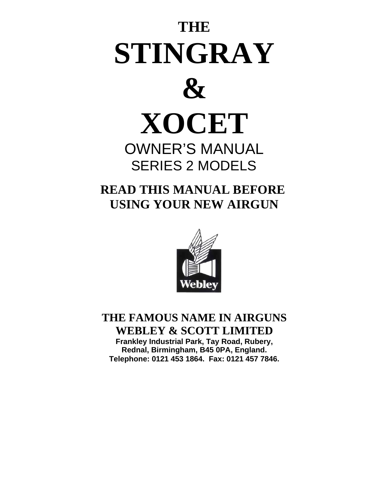# **THE STINGRAY**



# **XOCET**

## OWNER'S MANUAL SERIES 2 MODELS

 **READ THIS MANUAL BEFORE USING YOUR NEW AIRGUN** 



## **THE FAMOUS NAME IN AIRGUNS WEBLEY & SCOTT LIMITED**

**Frankley Industrial Park, Tay Road, Rubery, Rednal, Birmingham, B45 0PA, England. Telephone: 0121 453 1864. Fax: 0121 457 7846.**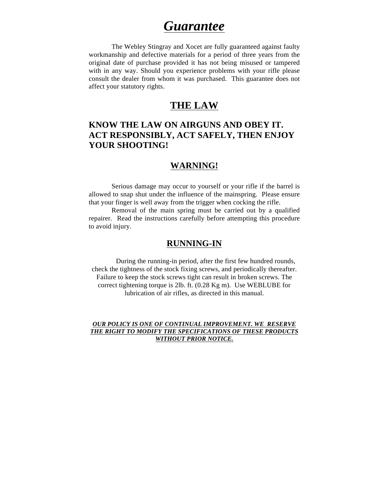## *Guarantee*

The Webley Stingray and Xocet are fully guaranteed against faulty workmanship and defective materials for a period of three years from the original date of purchase provided it has not being misused or tampered with in any way. Should you experience problems with your rifle please consult the dealer from whom it was purchased. This guarantee does not affect your statutory rights.

## **THE LAW**

## **KNOW THE LAW ON AIRGUNS AND OBEY IT. ACT RESPONSIBLY, ACT SAFELY, THEN ENJOY YOUR SHOOTING!**

## **WARNING!**

Serious damage may occur to yourself or your rifle if the barrel is allowed to snap shut under the influence of the mainspring. Please ensure that your finger is well away from the trigger when cocking the rifle.

Removal of the main spring must be carried out by a qualified repairer. Read the instructions carefully before attempting this procedure to avoid injury.

## **RUNNING-IN**

During the running-in period, after the first few hundred rounds, check the tightness of the stock fixing screws, and periodically thereafter. Failure to keep the stock screws tight can result in broken screws. The correct tightening torque is 2lb. ft. (0.28 Kg m). Use WEBLUBE for lubrication of air rifles, as directed in this manual.

## *OUR POLICY IS ONE OF CONTINUAL IMPROVEMENT. WE RESERVE THE RIGHT TO MODIFY THE SPECIFICATIONS OF THESE PRODUCTS WITHOUT PRIOR NOTICE.*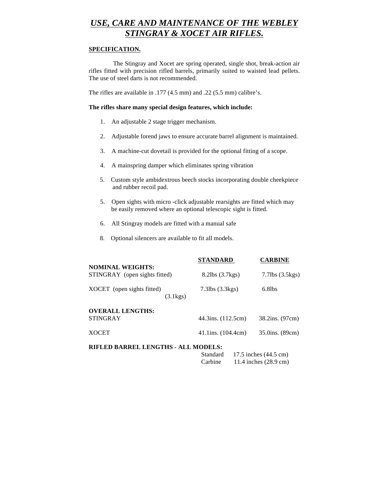## *USE, CARE AND MAINTENANCE OF THE WEBLEY STINGRAY & XOCET AIR RIFLES.*

## **SPECIFICATION.**

The Stingray and Xocet are spring operated, single shot, break-action air rifles fitted with precision rifled barrels, primarily suited to waisted lead pellets. The use of steel darts is not recommended.

The rifles are available in .177 (4.5 mm) and .22 (5.5 mm) calibre's.

### **The rifles share many special design features, which include:**

- 1. An adjustable 2 stage trigger mechanism.
- 2. Adjustable forend jaws to ensure accurate barrel alignment is maintained.
- 3. A machine-cut dovetail is provided for the optional fitting of a scope.
- 4. A mainspring damper which eliminates spring vibration
- 5. Custom style ambidextrous beech stocks incorporating double cheekpiece and rubber recoil pad.
- 5. Open sights with micro -click adjustable rearsights are fitted which may be easily removed where an optional telescopic sight is fitted.
- 6. All Stingray models are fitted with a manual safe
- 8. Optional silencers are available to fit all models.

|                                                                          | <b>STANDARD</b>          | <b>CARBINE</b>        |  |  |  |  |
|--------------------------------------------------------------------------|--------------------------|-----------------------|--|--|--|--|
| <b>NOMINAL WEIGHTS:</b><br>STINGRAY (open sights fitted)                 | 8.2lbs (3.7kgs)          | $7.7$ lbs $(3.5$ kgs) |  |  |  |  |
| XOCET (open sights fitted)<br>$(3.1\text{kg})$                           | $7.3$ lbs $(3.3$ kgs $)$ | $6.8$ lbs             |  |  |  |  |
| <b>OVERALL LENGTHS:</b><br><b>STINGRAY</b>                               | 44.3ins. (112.5cm)       | 38.2ins. (97cm)       |  |  |  |  |
| <b>XOCET</b>                                                             | $41.1$ ins. $(104.4cm)$  | 35.0ins. (89cm)       |  |  |  |  |
| RIFLED BARREL LENGTHS - ALL MODELS:<br>Standard<br>17.5 inches (44.5 cm) |                          |                       |  |  |  |  |

Carbine 11.4 inches (28.9 cm)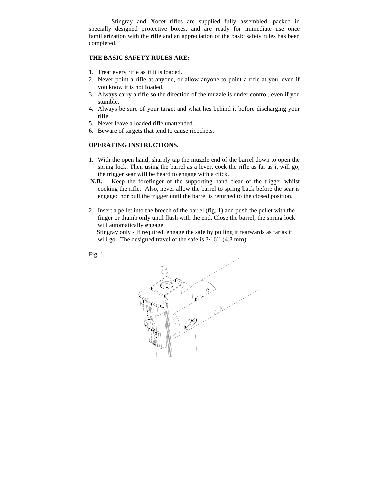Stingray and Xocet rifles are supplied fully assembled, packed in specially designed protective boxes, and are ready for immediate use once familiarization with the rifle and an appreciation of the basic safety rules has been completed.

## **THE BASIC SAFETY RULES ARE:**

- 1. Treat every rifle as if it is loaded.
- 2. Never point a rifle at anyone, or allow anyone to point a rifle at you, even if you know it is not loaded.
- 3. Always carry a rifle so the direction of the muzzle is under control, even if you stumble.
- 4. Always be sure of your target and what lies behind it before discharging your rifle.
- 5. Never leave a loaded rifle unattended.
- 6. Beware of targets that tend to cause ricochets.

## **OPERATING INSTRUCTIONS.**

- 1. With the open hand, sharply tap the muzzle end of the barrel down to open the spring lock. Then using the barrel as a lever, cock the rifle as far as it will go; the trigger sear will be heard to engage with a click.
- **N.B.** Keep the forefinger of the supporting hand clear of the trigger whilst cocking the rifle. Also, never allow the barrel to spring back before the sear is engaged nor pull the trigger until the barrel is returned to the closed position.
- 2. Insert a pellet into the breech of the barrel (fig. 1) and push the pellet with the finger or thumb only until flush with the end. Close the barrel; the spring lock will automatically engage.

 Stingray only - If required, engage the safe by pulling it rearwards as far as it will go. The designed travel of the safe is  $3/16''$  (4.8 mm).

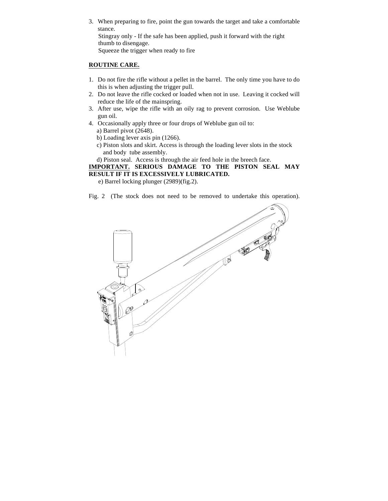3. When preparing to fire, point the gun towards the target and take a comfortable stance. Stingray only - If the safe has been applied, push it forward with the right thumb to disengage. Squeeze the trigger when ready to fire

## **ROUTINE CARE.**

- 1. Do not fire the rifle without a pellet in the barrel. The only time you have to do this is when adjusting the trigger pull.
- 2. Do not leave the rifle cocked or loaded when not in use. Leaving it cocked will reduce the life of the mainspring.
- 3. After use, wipe the rifle with an oily rag to prevent corrosion. Use Weblube gun oil.
- 4. Occasionally apply three or four drops of Weblube gun oil to: a) Barrel pivot (2648).
	- b) Loading lever axis pin (1266).
	- c) Piston slots and skirt. Access is through the loading lever slots in the stock and body tube assembly.
	- d) Piston seal. Access is through the air feed hole in the breech face.

**IMPORTANT. SERIOUS DAMAGE TO THE PISTON SEAL MAY RESULT IF IT IS EXCESSIVELY LUBRICATED.**

e) Barrel locking plunger (2989)(fig.2).

Fig. 2 (The stock does not need to be removed to undertake this operation).

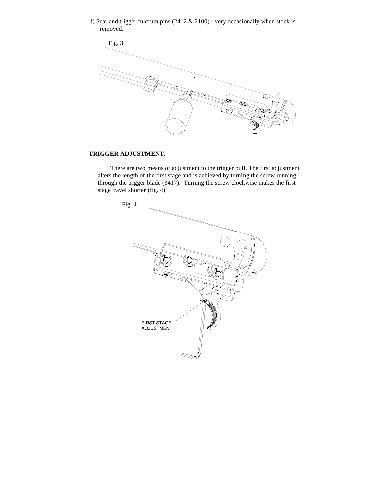f) Sear and trigger fulcrum pins (2412 & 2100) - very occasionally when stock is removed.



## **TRIGGER ADJUSTMENT.**

 There are two means of adjustment to the trigger pull. The first adjustment alters the length of the first stage and is achieved by turning the screw running through the trigger blade (3417). Turning the screw clockwise makes the first stage travel shorter (fig. 4).

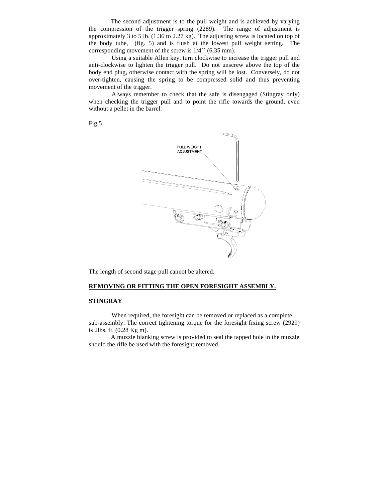The second adjustment is to the pull weight and is achieved by varying the compression of the trigger spring (2289). The range of adjustment is approximately 3 to 5 lb. (1.36 to 2.27 kg). The adjusting screw is located on top of the body tube, (fig. 5) and is flush at the lowest pull weight setting. The corresponding movement of the screw is 1/4´´ (6.35 mm).

Using a suitable Allen key, turn clockwise to increase the trigger pull and anti-clockwise to lighten the trigger pull. Do not unscrew above the top of the body end plug, otherwise contact with the spring will be lost. Conversely, do not over-tighten, causing the spring to be compressed solid and thus preventing movement of the trigger.

Always remember to check that the safe is disengaged (Stingray only) when checking the trigger pull and to point the rifle towards the ground, even without a pellet in the barrel.

Fig.5



The length of second stage pull cannot be altered.

## **REMOVING OR FITTING THE OPEN FORESIGHT ASSEMBLY.**

## **STINGRAY**

When required, the foresight can be removed or replaced as a complete sub-assembly. The correct tightening torque for the foresight fixing screw (2929) is 2lbs. ft. (0.28 Kg m).

 A muzzle blanking screw is provided to seal the tapped hole in the muzzle should the rifle be used with the foresight removed.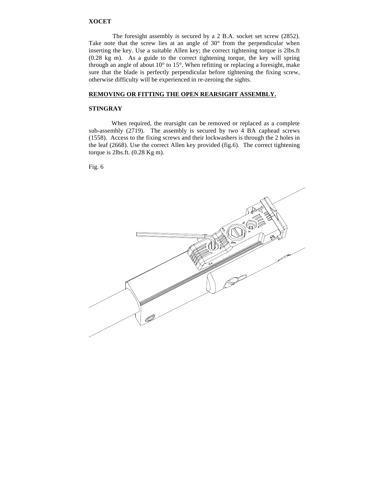## **XOCET**

 The foresight assembly is secured by a 2 B.A. socket set screw (2852). Take note that the screw lies at an angle of 30° from the perpendicular when inserting the key. Use a suitable Allen key; the correct tightening torque is 2lbs.ft (0.28 kg m). As a guide to the correct tightening torque, the key will spring through an angle of about 10° to 15°. When refitting or replacing a foresight, make sure that the blade is perfectly perpendicular before tightening the fixing screw, otherwise difficulty will be experienced in re-zeroing the sights.

## **REMOVING OR FITTING THE OPEN REARSIGHT ASSEMBLY.**

## **STINGRAY**

When required, the rearsight can be removed or replaced as a complete sub-assembly (2719). The assembly is secured by two 4 BA caphead screws (1558). Access to the fixing screws and their lockwashers is through the 2 holes in the leaf (2668). Use the correct Allen key provided (fig.6). The correct tightening torque is 2lbs.ft. (0.28 Kg m).

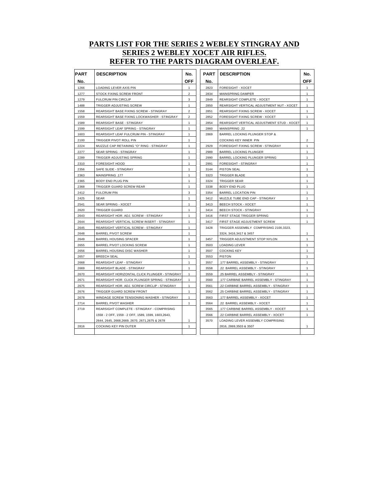## **PARTS LIST FOR THE SERIES 2 WEBLEY STINGRAY AND SERIES 2 WEBLEY XOCET AIR RIFLES. REFER TO THE PARTS DIAGRAM OVERLEAF.**

| <b>PART</b> | <b>DESCRIPTION</b>                                  | No.            | <b>PART</b> | <b>DESCRIPTION</b>                         | No.            |
|-------------|-----------------------------------------------------|----------------|-------------|--------------------------------------------|----------------|
| No.         |                                                     | <b>OFF</b>     | No.         |                                            | <b>OFF</b>     |
| 1266        | LOADING LEVER AXIS PIN                              | $\mathbf{1}$   | 2823        | FORESIGHT - XOCET                          | $\mathbf{1}$   |
| 1277        | STOCK FIXING SCREW FRONT                            | $\overline{2}$ | 2834        | MAINSPRING DAMPER                          | 1              |
| 1279        | <b>FULCRUM PIN CIRCLIP</b>                          | 3              | 2849        | REARSIGHT COMPLETE - XOCET                 | 1              |
| 1488        | TRIGGER ADJUSTING SCREW                             | $\mathbf{1}$   | 2850        | REARSIGHT VERTICAL ADJUSTMENT NUT - XOCET  | $\mathbf{1}$   |
| 1558        | REARSIGHT BASE FIXING SCREW - STINGRAY              | $\overline{2}$ | 2851        | REARSIGHT FIXING SCREW - XOCET             | 1              |
| 1559        | REARSIGHT BASE FIXING LOCKWASHER - STINGRAY         | $\overline{2}$ | 2852        | FORESIGHT FIXING SCREW - XOCET             | $\mathbf{1}$   |
| 1589        | REARSIGHT BASE - STINGRAY                           | $\mathbf{1}$   | 2854        | REARSIGHT VERTICAL ADJUSTMENT STUD - XOCET | 1              |
| 1599        | REARSIGHT LEAF SPRING - STINGRAY                    | $\mathbf{1}$   | 2860        | MAINSPRING .22                             | 1              |
| 1603        | REARSIGHT LEAF FULCRUM PIN - STINGRAY               | $\mathbf{1}$   | 2869        | BARREL LOCKING PLUNGER STOP &              |                |
| 2100        | TRIGGER PIVOT ROLL PIN                              | $\mathbf{1}$   |             | COCKING KEY INNER PIN                      | $\overline{2}$ |
| 2224        | MUZZLE CAP RETAINING "O" RING - STINGRAY            | $\mathbf{1}$   | 2929        | FORESIGHT FIXING SCREW - STINGRAY          | 1              |
| 2277        | SEAR SPRING - STINGRAY                              | $\mathbf{1}$   | 2989        | BARREL LOCKING PLUNGER                     | $\mathbf{1}$   |
| 2289        | TRIGGER ADJUSTING SPRING                            | $\mathbf{1}$   | 2990        | BARREL LOCKING PLUNGER SPRING              | 1              |
| 2310        | FORESIGHT HOOD                                      | $\mathbf{1}$   | 2991        | FORESIGHT - STINGRAY                       | $\mathbf{1}$   |
| 2356        | SAFE SLIDE - STINGRAY                               | $\mathbf{1}$   | 3144        | <b>PISTON SEAL</b>                         | 1              |
| 2363        | MAINSPRING .177                                     | $\mathbf{1}$   | 3323        | <b>TRIGGER BLADE</b>                       | 1              |
| 2365        | BODY END PLUG PIN                                   | $\mathbf{1}$   | 3324        | TRIGGER SEAR                               | $\mathbf{1}$   |
| 2368        | TRIGGER GUARD SCREW REAR                            | $\mathbf{1}$   | 3338        | <b>BODY END PLUG</b>                       | 1              |
| 2412        | <b>FULCRUM PIN</b>                                  | 3              | 3354        | <b>BARREL LOCATION PIN</b>                 | 1              |
| 2425        | <b>SEAR</b>                                         | $\mathbf{1}$   | 3412        | MUZZLE TUBE END CAP - STINGRAY             | $\mathbf{1}$   |
| 2541        | SEAR SPRING - XOCET                                 | $\mathbf{1}$   | 3413        | BEECH STOCK - XOCET                        | 1              |
| 2620        | <b>TRIGGER GUARD</b>                                | $\mathbf{1}$   | 3414        | <b>BEECH STOCK - STINGRAY</b>              | $\mathbf{1}$   |
| 2643        | REARSIGHT HOR. ADJ. SCREW - STINGRAY                | $\mathbf{1}$   | 3416        | FIRST STAGE TRIGGER SPRING                 | 1              |
| 2644        | REARSIGHT VERTICAL SCREW INSERT - STINGRAY          | $\mathbf{1}$   | 3417        | FIRST STAGE ADJUSTMENT SCREW               | 1              |
| 2645        | REARSIGHT VERTICAL SCREW - STINGRAY                 | $\mathbf{1}$   | 3428        | TRIGGER ASSEMBLY COMPRISING 2100,3323,     |                |
| 2648        | <b>BARREL PIVOT SCREW</b>                           | $\mathbf{1}$   |             | 3324, 3416, 3417 & 3457                    | 1              |
| 2649        | <b>BARREL HOUSING SPACER</b>                        | $\mathbf{1}$   | 3457        | TRIGGER ADJUSTMENT STOP NYLON              | 1              |
| 2655        | BARREL PIVOT LOCKING SCREW                          | $\mathbf{1}$   | 3503        | LOADING LEVER                              | 1              |
| 2656        | BARREL HOUSING DISC WASHER                          | $\mathbf{1}$   | 3507        | <b>COCKING KEY</b>                         | 1              |
| 2657        | <b>BREECH SEAL</b>                                  | $\mathbf{1}$   | 3553        | <b>PISTON</b>                              | $\mathbf{1}$   |
| 2668        | REARSIGHT LEAF - STINGRAY                           | 1              | 3557        | .177 BARREL ASSEMBLY - STINGRAY            | 1              |
| 2669        | REARSIGHT BLADE - STINGRAY                          | 1              | 3558        | 22 BARREL ASSEMBLY - STINGRAY              | 1              |
| 2670        | REARSIGHT HORIZONTAL CLICK PLUNGER - STINGRAY       | $\mathbf{1}$   | 3559        | .25 BARREL ASSEMBLY - STINGRAY             | $\mathbf{1}$   |
| 2671        | REARSIGHT HOR. CLICK PLUNGER SPRING - STINGRAY      | $\mathbf{1}$   | 3560        | 177 CARBINE BARREL ASSEMBLY - STINGRAY     | 1              |
| 2675        | REARSIGHT HOR. ADJ. SCREW CIRCLIP - STINGRAY        | 1              | 3561        | 22 CARBINE BARREL ASSEMBLY - STINGRAY      | 1              |
| 2676        | TRIGGER GUARD SCREW FRONT                           | $\mathbf{1}$   | 3562        | 25 CARBINE BARREL ASSEMBLY - STINGRAY      | $\mathbf{1}$   |
| 2678        | WINDAGE SCREW TENSIONING WASHER - STINGRAY          | 1              | 3563        | .177 BARREL ASSEMBLY - XOCET               | 1              |
| 2714        | <b>BARREL PIVOT WASHER</b>                          | $\mathbf{1}$   | 3564        | 22 BARREL ASSEMBLY - XOCET                 | 1              |
| 2719        | REARSIGHT COMPLETE - STINGRAY - COMPRISING          |                | 3565        | 177 CARBINE BARREL ASSEMBLY - XOCET        | 1              |
|             | 1558 - 2 OFF, 1559 - 2 OFF, 1589, 1599, 1603, 2643, |                | 3566        | 22 CARBINE BARREL ASSEMBLY - XOCET         | 1              |
|             | 2644, 2645, 2668, 2669, 2670, 2671, 2675 & 2678     | $\mathbf{1}$   | 3570        | LOADING LEVER ASSEMBLY COMPRISING          |                |
| 2816        | COCKING KEY PIN OUTER                               | 1              |             | 2816, 2869, 3503 & 3507                    | 1              |
|             |                                                     |                |             |                                            |                |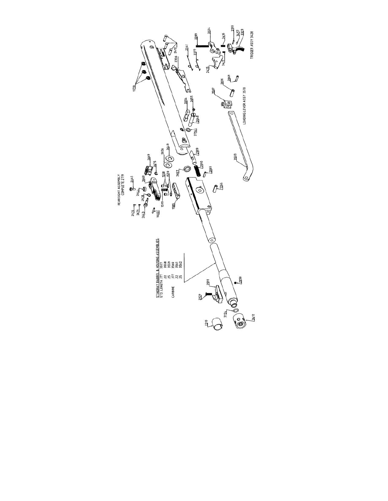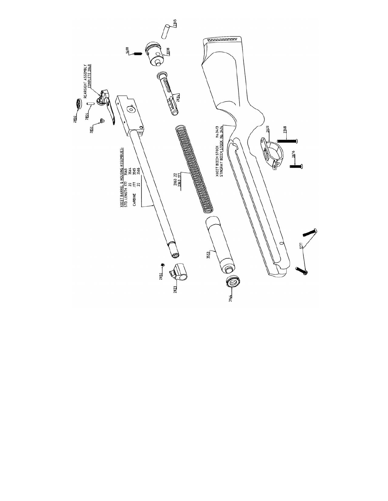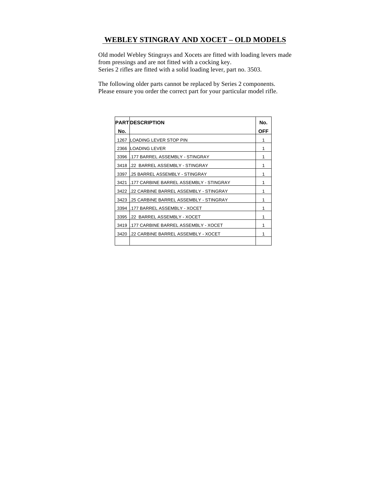## **WEBLEY STINGRAY AND XOCET – OLD MODELS**

 Old model Webley Stingrays and Xocets are fitted with loading levers made from pressings and are not fitted with a cocking key. Series 2 rifles are fitted with a solid loading lever, part no. 3503.

 The following older parts cannot be replaced by Series 2 components. Please ensure you order the correct part for your particular model rifle.

|      | <b>PARTIDESCRIPTION</b>                 | No.        |
|------|-----------------------------------------|------------|
| No.  |                                         | <b>OFF</b> |
|      | 1267 LOADING LEVER STOP PIN             | 1          |
|      | 2366 LOADING LEVER                      | 1          |
| 3396 | .177 BARREL ASSEMBLY - STINGRAY         | 1          |
| 3418 | .22 BARREL ASSEMBLY - STINGRAY          | 1          |
| 3397 | .25 BARREL ASSEMBLY - STINGRAY          | 1          |
| 3421 | .177 CARBINE BARREL ASSEMBLY - STINGRAY | 1          |
| 3422 | l.22 CARBINE BARREL ASSEMBLY - STINGRAY | 1          |
| 3423 | .25 CARBINE BARREL ASSEMBLY - STINGRAY  | 1          |
| 3394 | .177 BARREL ASSEMBLY - XOCET            | 1          |
| 3395 | .22 BARREL ASSEMBLY - XOCET             | 1          |
| 3419 | .177 CARBINE BARREL ASSEMBLY - XOCET    | 1          |
| 3420 | .22 CARBINE BARREL ASSEMBLY - XOCET     | 1          |
|      |                                         |            |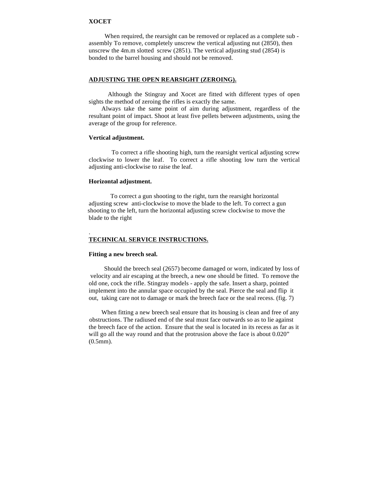### **XOCET**

When required, the rearsight can be removed or replaced as a complete sub assembly To remove, completely unscrew the vertical adjusting nut (2850), then unscrew the 4m.m slotted screw (2851). The vertical adjusting stud (2854) is bonded to the barrel housing and should not be removed.

## **ADJUSTING THE OPEN REARSIGHT (ZEROING).**

 Although the Stingray and Xocet are fitted with different types of open sights the method of zeroing the rifles is exactly the same.

 Always take the same point of aim during adjustment, regardless of the resultant point of impact. Shoot at least five pellets between adjustments, using the average of the group for reference.

## **Vertical adjustment.**

To correct a rifle shooting high, turn the rearsight vertical adjusting screw clockwise to lower the leaf. To correct a rifle shooting low turn the vertical adjusting anti-clockwise to raise the leaf.

## **Horizontal adjustment.**

 To correct a gun shooting to the right, turn the rearsight horizontal adjusting screw anti-clockwise to move the blade to the left. To correct a gun shooting to the left, turn the horizontal adjusting screw clockwise to move the blade to the right

## **TECHNICAL SERVICE INSTRUCTIONS.**

#### **Fitting a new breech seal.**

.

 Should the breech seal (2657) become damaged or worn, indicated by loss of velocity and air escaping at the breech, a new one should be fitted. To remove the old one, cock the rifle. Stingray models - apply the safe. Insert a sharp, pointed implement into the annular space occupied by the seal. Pierce the seal and flip it out, taking care not to damage or mark the breech face or the seal recess. (fig. 7)

 When fitting a new breech seal ensure that its housing is clean and free of any obstructions. The radiused end of the seal must face outwards so as to lie against the breech face of the action. Ensure that the seal is located in its recess as far as it will go all the way round and that the protrusion above the face is about 0.020" (0.5mm).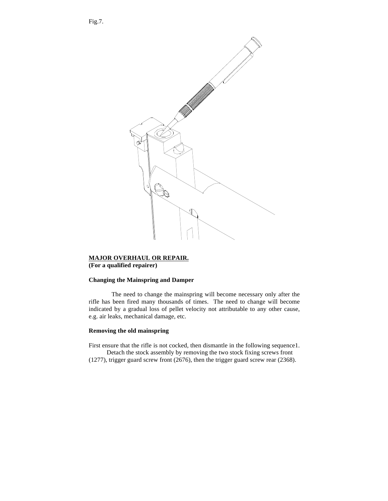

## **MAJOR OVERHAUL OR REPAIR.**

**(For a qualified repairer)**

## **Changing the Mainspring and Damper**

The need to change the mainspring will become necessary only after the rifle has been fired many thousands of times. The need to change will become indicated by a gradual loss of pellet velocity not attributable to any other cause, e.g. air leaks, mechanical damage, etc.

## **Removing the old mainspring**

First ensure that the rifle is not cocked, then dismantle in the following sequence1. Detach the stock assembly by removing the two stock fixing screws front

(1277), trigger guard screw front (2676), then the trigger guard screw rear (2368).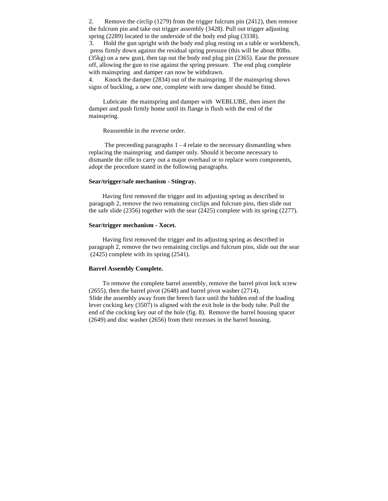2. Remove the circlip (1279) from the trigger fulcrum pin (2412), then remove the fulcrum pin and take out trigger assembly (3428). Pull out trigger adjusting spring (2289) located in the underside of the body end plug (3338).

 3. Hold the gun upright with the body end plug resting on a table or workbench, press firmly down against the residual spring pressure (this will be about 80lbs. (35kg) on a new gun), then tap out the body end plug pin (2365). Ease the pressure off, allowing the gun to rise against the spring pressure. The end plug complete with mainspring and damper can now be withdrawn.

4. Knock the damper (2834) out of the mainspring. If the mainspring shows signs of buckling, a new one, complete with new damper should be fitted.

 Lubricate the mainspring and damper with WEBLUBE, then insert the damper and push firmly home until its flange is flush with the end of the mainspring.

Reassemble in the reverse order.

 The preceeding paragraphs 1 - 4 relate to the necessary dismantling when replacing the mainspring and damper only. Should it become necessary to dismantle the rifle to carry out a major overhaul or to replace worn components, adopt the procedure stated in the following paragraphs.

### **Sear/trigger/safe mechanism - Stingray.**

 Having first removed the trigger and its adjusting spring as described in paragraph 2, remove the two remaining circlips and fulcrum pins, then slide out the safe slide (2356) together with the sear (2425) complete with its spring (2277).

#### **Sear/trigger mechanism - Xocet.**

 Having first removed the trigger and its adjusting spring as described in paragraph 2, remove the two remaining circlips and fulcrum pins, slide out the sear (2425) complete with its spring (2541).

### **Barrel Assembly Complete.**

 To remove the complete barrel assembly, remove the barrel pivot lock screw (2655), then the barrel pivot (2648) and barrel pivot washer (2714). Slide the assembly away from the breech face until the hidden end of the loading lever cocking key (3507) is aligned with the exit hole in the body tube. Pull the end of the cocking key out of the hole (fig. 8). Remove the barrel housing spacer (2649) and disc washer (2656) from their recesses in the barrel housing.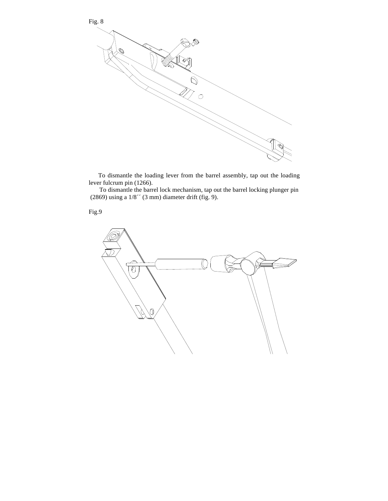

 To dismantle the loading lever from the barrel assembly, tap out the loading lever fulcrum pin (1266).

To dismantle the barrel lock mechanism, tap out the barrel locking plunger pin (2869) using a  $1/8$ " (3 mm) diameter drift (fig. 9).

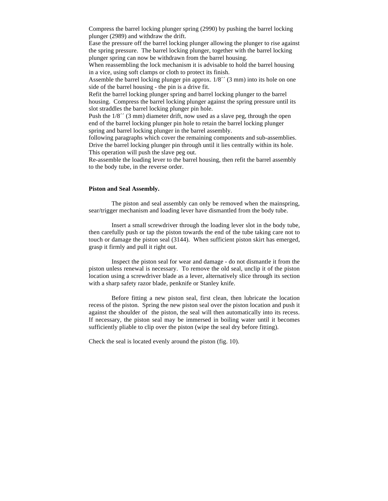Compress the barrel locking plunger spring (2990) by pushing the barrel locking plunger (2989) and withdraw the drift.

Ease the pressure off the barrel locking plunger allowing the plunger to rise against the spring pressure. The barrel locking plunger, together with the barrel locking plunger spring can now be withdrawn from the barrel housing.

When reassembling the lock mechanism it is advisable to hold the barrel housing in a vice, using soft clamps or cloth to protect its finish.

Assemble the barrel locking plunger pin approx.  $1/8'$  (3 mm) into its hole on one side of the barrel housing - the pin is a drive fit.

Refit the barrel locking plunger spring and barrel locking plunger to the barrel housing. Compress the barrel locking plunger against the spring pressure until its slot straddles the barrel locking plunger pin hole.

Push the  $1/8$ <sup> $\prime\prime$ </sup> (3 mm) diameter drift, now used as a slave peg, through the open end of the barrel locking plunger pin hole to retain the barrel locking plunger spring and barrel locking plunger in the barrel assembly.

following paragraphs which cover the remaining components and sub-assemblies. Drive the barrel locking plunger pin through until it lies centrally within its hole. This operation will push the slave peg out.

Re-assemble the loading lever to the barrel housing, then refit the barrel assembly to the body tube, in the reverse order.

#### **Piston and Seal Assembly.**

The piston and seal assembly can only be removed when the mainspring, sear/trigger mechanism and loading lever have dismantled from the body tube.

Insert a small screwdriver through the loading lever slot in the body tube, then carefully push or tap the piston towards the end of the tube taking care not to touch or damage the piston seal (3144). When sufficient piston skirt has emerged, grasp it firmly and pull it right out.

Inspect the piston seal for wear and damage - do not dismantle it from the piston unless renewal is necessary. To remove the old seal, unclip it of the piston location using a screwdriver blade as a lever, alternatively slice through its section with a sharp safety razor blade, penknife or Stanley knife.

Before fitting a new piston seal, first clean, then lubricate the location recess of the piston. Spring the new piston seal over the piston location and push it against the shoulder of the piston, the seal will then automatically into its recess. If necessary, the piston seal may be immersed in boiling water until it becomes sufficiently pliable to clip over the piston (wipe the seal dry before fitting).

Check the seal is located evenly around the piston (fig. 10).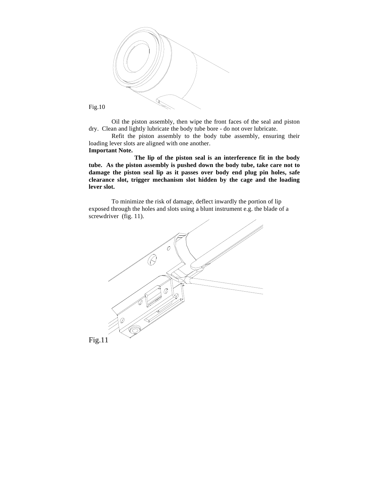

Fig.10

Oil the piston assembly, then wipe the front faces of the seal and piston dry. Clean and lightly lubricate the body tube bore - do not over lubricate.

Refit the piston assembly to the body tube assembly, ensuring their loading lever slots are aligned with one another. **Important Note.**

**The lip of the piston seal is an interference fit in the body tube. As the piston assembly is pushed down the body tube, take care not to damage the piston seal lip as it passes over body end plug pin holes, safe clearance slot, trigger mechanism slot hidden by the cage and the loading lever slot.**

To minimize the risk of damage, deflect inwardly the portion of lip exposed through the holes and slots using a blunt instrument e.g. the blade of a screwdriver (fig. 11).

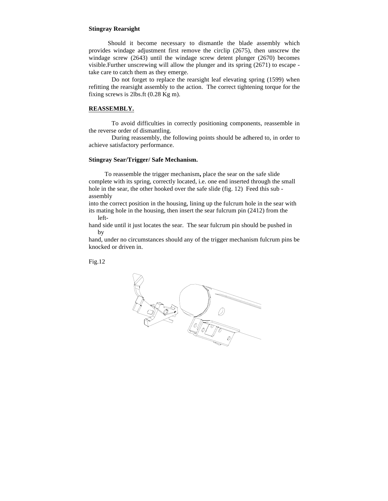## **Stingray Rearsight**

 Should it become necessary to dismantle the blade assembly which provides windage adjustment first remove the circlip (2675), then unscrew the windage screw (2643) until the windage screw detent plunger (2670) becomes visible.Further unscrewing will allow the plunger and its spring (2671) to escape take care to catch them as they emerge.

Do not forget to replace the rearsight leaf elevating spring (1599) when refitting the rearsight assembly to the action. The correct tightening torque for the fixing screws is 2lbs.ft (0.28 Kg m).

#### **REASSEMBLY.**

To avoid difficulties in correctly positioning components, reassemble in the reverse order of dismantling.

During reassembly, the following points should be adhered to, in order to achieve satisfactory performance.

## **Stingray Sear/Trigger/ Safe Mechanism.**

 To reassemble the trigger mechanism**,** place the sear on the safe slide complete with its spring, correctly located, i.e. one end inserted through the small hole in the sear, the other hooked over the safe slide (fig. 12) Feed this sub assembly

into the correct position in the housing, lining up the fulcrum hole in the sear with its mating hole in the housing, then insert the sear fulcrum pin (2412) from the left-

hand side until it just locates the sear. The sear fulcrum pin should be pushed in by

hand, under no circumstances should any of the trigger mechanism fulcrum pins be knocked or driven in.